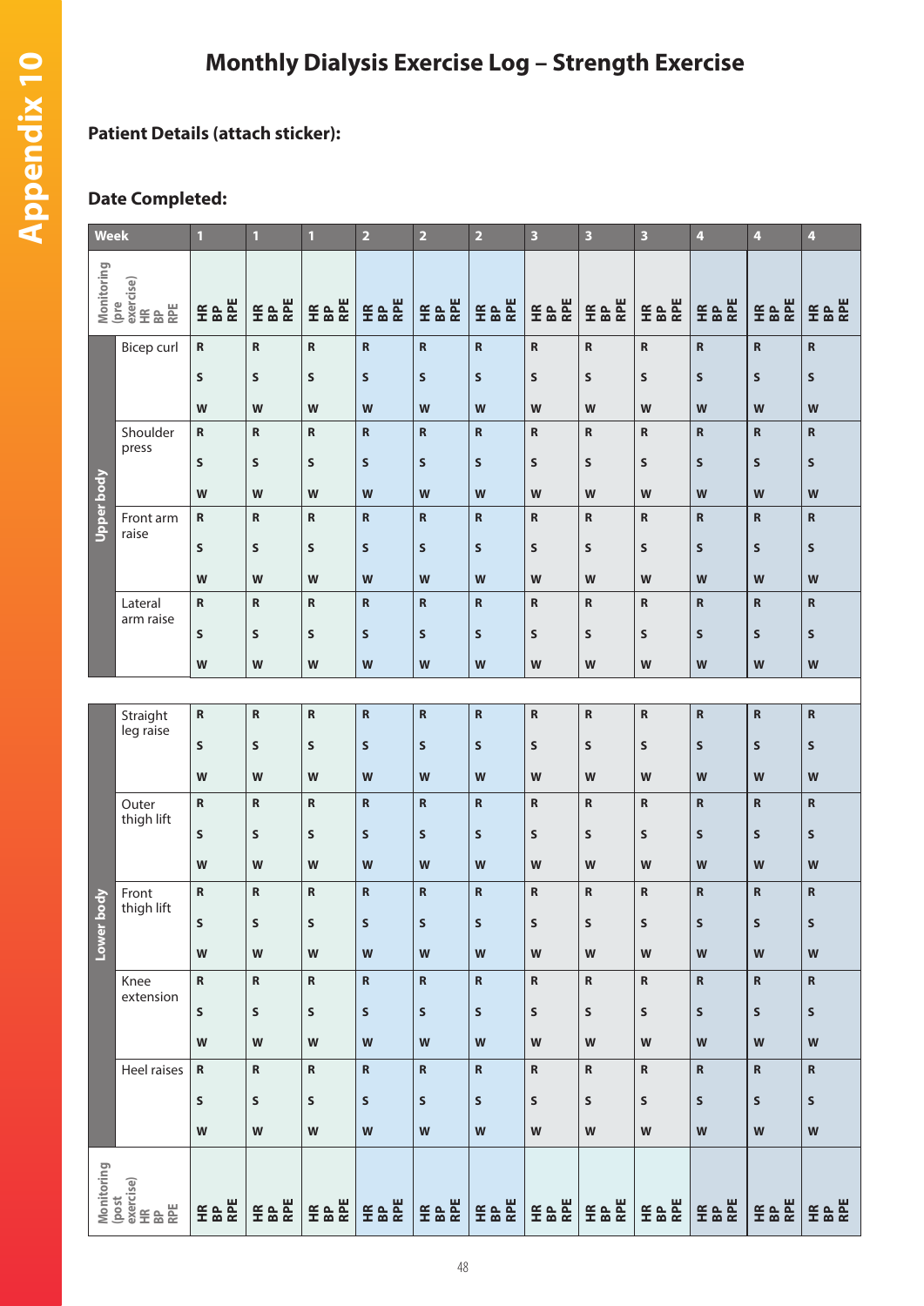## **Monthly Dialysis Exercise Log – Strength Exercise**

## **Patient Details (attach sticker):**

## **Date Completed:**

| <b>Week</b>                                         |                       | $\mathbf{1}$                                                                          | 1              | $\mathbf{1}$ | $\overline{2}$                                                                        | $\overline{\mathbf{2}}$ | $\overline{2}$          | $\overline{\mathbf{3}}$ | 3                    | 3                                                                                     | 4                  | 4            | $\overline{\mathbf{4}}$   |
|-----------------------------------------------------|-----------------------|---------------------------------------------------------------------------------------|----------------|--------------|---------------------------------------------------------------------------------------|-------------------------|-------------------------|-------------------------|----------------------|---------------------------------------------------------------------------------------|--------------------|--------------|---------------------------|
| Monitoring<br>(pre<br>exercise)<br>HR<br>BP<br>RPE  |                       | RPE<br>$E$ &                                                                          | RPE<br>$E$ &   | <b>E</b> & & | <b>E</b> & &                                                                          | RPE<br>$E$ &            | <b>E</b> & &            | <b>E</b> & &            | <b>E</b> & &         | <b>E</b> & &                                                                          | <b>E</b> & &       | <b>E</b> & E | <b>E</b> & &              |
| Upper body                                          | <b>Bicep curl</b>     | ${\sf R}$                                                                             | $\mathbf R$    | $\mathsf R$  | $\mathsf{R}$                                                                          | $\mathbf R$             | $\mathbf R$             | ${\bf R}$               | ${\bf R}$            | ${\sf R}$                                                                             | $\mathbf R$        | $\mathsf{R}$ | ${\sf R}$                 |
|                                                     |                       | S                                                                                     | $\sf S$        | S            | $\mathsf{s}$                                                                          | S                       | $\sf S$                 | $\sf S$                 | S                    | $\sf S$                                                                               | $\mathsf{s}$       | S            | ${\sf s}$                 |
|                                                     |                       | W                                                                                     | W              | W            | W                                                                                     | W                       | W                       | W                       | W                    | W                                                                                     | W                  | W            | W                         |
|                                                     | Shoulder              | R                                                                                     | $\mathbf R$    | ${\sf R}$    | $\mathsf R$                                                                           | $\mathsf R$             | ${\bf R}$               | ${\bf R}$               | ${\sf R}$            | ${\sf R}$                                                                             | $\mathbf R$        | $\mathsf{R}$ | $\mathbf R$               |
|                                                     | press                 | S                                                                                     | S              | S            | $\sf S$                                                                               | S                       | S                       | $\sf S$                 | S                    | $\mathsf{s}$                                                                          | $\mathsf{s}$       | $\mathsf{S}$ | $\mathsf{s}$              |
|                                                     |                       | W                                                                                     | W              | W            | $\mathsf{W}$                                                                          | W                       | W                       | W                       | W                    | W                                                                                     | W                  | W            | W                         |
|                                                     | Front arm<br>raise    | ${\sf R}$                                                                             | ${\sf R}$      | ${\sf R}$    | $\mathbf R$                                                                           | $\mathbf R$             | $\mathbf R$             | ${\bf R}$               | ${\bf R}$            | ${\sf R}$                                                                             | $\mathbf R$        | $\mathbf R$  | $\, {\bf R}$              |
|                                                     |                       | S                                                                                     | $\sf S$        | S            | $\mathsf{s}$                                                                          | $\mathsf{s}$            | $\mathsf{s}$            | $\sf S$                 | S                    | $\sf S$                                                                               | $\mathsf{s}$       | S            | $\mathsf{s}$              |
|                                                     |                       | W                                                                                     | W              | W            | W                                                                                     | W                       | W                       | W                       | W                    | W                                                                                     | W                  | W            | W                         |
|                                                     | Lateral<br>arm raise  | ${\sf R}$                                                                             | $\mathbf R$    | $\mathsf R$  | $\mathsf R$                                                                           | $\mathsf R$             | $\mathbf R$             | ${\bf R}$               | ${\bf R}$            | R                                                                                     | $\mathsf{R}$       | $\mathsf{R}$ | $\mathbf R$               |
|                                                     |                       | S                                                                                     | $\sf S$        | S            | $\mathsf{s}$                                                                          | $\mathsf{s}$            | $\sf S$                 | $\mathsf{s}$            | S                    | $\sf S$                                                                               | $\mathsf{s}$       | $\mathsf{s}$ | $\mathsf{s}$              |
|                                                     |                       | W                                                                                     | W              | W            | W                                                                                     | W                       | W                       | W                       | W                    | W                                                                                     | W                  | W            | W                         |
|                                                     |                       |                                                                                       |                |              |                                                                                       |                         |                         |                         |                      |                                                                                       |                    |              |                           |
| body<br>Lower                                       | Straight<br>leg raise | ${\sf R}$                                                                             | ${\sf R}$      | ${\sf R}$    | $\mathsf R$                                                                           | ${\sf R}$               | ${\bf R}$               | ${\bf R}$               | ${\sf R}$            | $\mathbf R$                                                                           | $\mathbf R$        | $\mathsf{R}$ | $\, {\bf R}$              |
|                                                     |                       | S                                                                                     | $\sf S$        | S            | $\mathsf{s}$                                                                          | $\mathsf{s}$            | $\mathsf{s}$            | ${\sf s}$               | S                    | $\sf S$                                                                               | S                  | $\mathsf{s}$ | $\mathsf{s}$              |
|                                                     | Outer<br>thigh lift   | W                                                                                     | W              | W            | W                                                                                     | W                       | W                       | W                       | W                    | W                                                                                     | W                  | W            | W                         |
|                                                     |                       | ${\sf R}$                                                                             | $\mathbf R$    | $\mathsf R$  | $\mathbf R$                                                                           | $\mathbf R$             | $\mathbf R$             | $\mathbf R$             | ${\bf R}$            | $\mathsf{R}$                                                                          | $\mathbf R$        | $\mathbf R$  | $\mathbf R$               |
|                                                     |                       | S                                                                                     | S              | S            | $\sf S$                                                                               | S                       | $\sf S$                 | $\sf S$                 | S                    | S                                                                                     | $\mathsf{s}$       | S            | $\mathsf{s}$              |
|                                                     |                       | W                                                                                     | W              | W            | $\mathsf{W}$                                                                          | W                       | W                       | W                       | W                    | W                                                                                     | W                  | W            | W                         |
|                                                     | Front<br>thigh lift   | ${\sf R}$                                                                             | ${\sf R}$      | $\mathsf R$  | $\mathsf R$                                                                           | $\mathsf R$             | $\overline{\mathsf{R}}$ | ${\bf R}$               | R                    | $\mathsf R$                                                                           | $\mathbf R$        | $\mathsf{R}$ | $\mathsf R$               |
|                                                     |                       | S                                                                                     | S              | S            | S                                                                                     | S                       | S                       | ${\sf s}$               | S                    | S                                                                                     | S                  | S            | S                         |
|                                                     |                       | W                                                                                     | W              | W            | W                                                                                     | W                       | W                       | W                       | W                    | W                                                                                     | W                  | W            | W                         |
|                                                     | Knee<br>extension     | ${\sf R}$                                                                             | ${\sf R}$      | ${\sf R}$    | ${\sf R}$                                                                             | ${\sf R}$               | ${\sf R}$               | ${\sf R}$               | ${\sf R}$            | ${\sf R}$                                                                             | ${\bf R}$          | ${\sf R}$    | $\boldsymbol{\mathsf{R}}$ |
|                                                     |                       | S                                                                                     | S              | S            | $\sf S$                                                                               | S                       | S                       | S                       | S                    | S                                                                                     | S                  | S            | S                         |
|                                                     |                       | W                                                                                     | W              | ${\bf W}$    | $\mathbf W$                                                                           | $\mathbf W$             | ${\bf W}$               | W                       | ${\bf W}$            | $\mathsf{W}% _{T}=\mathsf{W}_{T}\!\left( a,b\right) ,\ \mathsf{W}_{T}=\mathsf{W}_{T}$ | W                  | ${\bf W}$    | $\mathsf{W}$              |
|                                                     | Heel raises           | ${\sf R}$                                                                             | ${\sf R}$      | ${\sf R}$    | ${\sf R}$                                                                             | ${\sf R}$               | ${\bf R}$               | ${\sf R}$               | ${\sf R}$            | ${\sf R}$                                                                             | ${\bf R}$          | $\mathsf R$  | ${\sf R}$                 |
|                                                     |                       | S                                                                                     | S              | S            | $\sf S$                                                                               | S                       | S                       | S                       | S                    | S                                                                                     | S                  | S            | ${\sf s}$                 |
|                                                     |                       | $\mathsf{W}% _{T}=\mathsf{W}_{T}\!\left( a,b\right) ,\ \mathsf{W}_{T}=\mathsf{W}_{T}$ | W              | W            | $\mathsf{W}% _{T}=\mathsf{W}_{T}\!\left( a,b\right) ,\ \mathsf{W}_{T}=\mathsf{W}_{T}$ | W                       | W                       | W                       | W                    | W                                                                                     | W                  | ${\bf W}$    | $\mathsf{W}$              |
|                                                     |                       |                                                                                       |                |              |                                                                                       |                         |                         |                         |                      |                                                                                       |                    |              |                           |
| Monitoring<br>(post<br>exercise)<br>HR<br>BP<br>RPE |                       | RPE<br>$E^{\text{R}}$                                                                 | <b>F&amp;E</b> | <b>E</b> & & | <b>E</b> & &                                                                          | <b>E</b> & &            | <b>E</b> & &            | <b>E &amp; &amp;</b>    | <b>E &amp; &amp;</b> | <b>FE &amp; E</b>                                                                     | <b>HE &amp; RE</b> | <b>E</b> & & | HR<br>BP<br>RPE           |